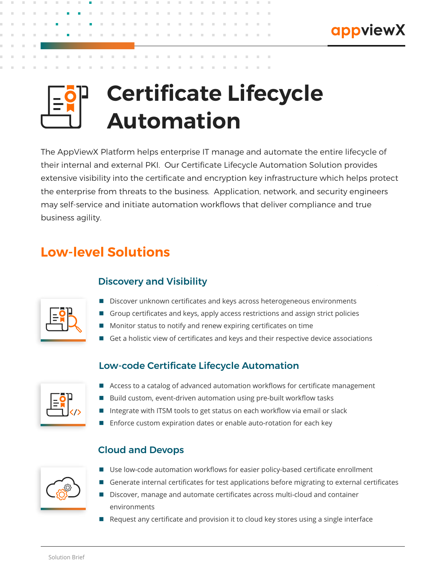

# **Certificate Lifecycle Automation**

The AppViewX Platform helps enterprise IT manage and automate the entire lifecycle of their internal and external PKI. Our Certificate Lifecycle Automation Solution provides extensive visibility into the certificate and encryption key infrastructure which helps protect the enterprise from threats to the business. Application, network, and security engineers may self-service and initiate automation workflows that deliver compliance and true business agility.

# **Low-level Solutions**

## Discovery and Visibility



- Discover unknown certificates and keys across heterogeneous environments
- Group certificates and keys, apply access restrictions and assign strict policies
- **Monitor status to notify and renew expiring certificates on time**
- Get a holistic view of certificates and keys and their respective device associations

#### Low-code Certificate Lifecycle Automation

- Access to a catalog of advanced automation workflows for certificate management
- Build custom, event-driven automation using pre-built workflow tasks
- Integrate with ITSM tools to get status on each workflow via email or slack
- Enforce custom expiration dates or enable auto-rotation for each key

#### Cloud and Devops



- Use low-code automation workflows for easier policy-based certificate enrollment
- Generate internal certificates for test applications before migrating to external certificates
- Discover, manage and automate certificates across multi-cloud and container environments
- Request any certificate and provision it to cloud key stores using a single interface